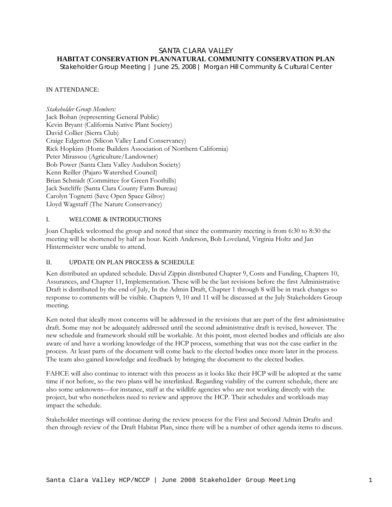### SANTA CLARA VALLEY **HABITAT CONSERVATION PLAN/NATURAL COMMUNITY CONSERVATION PLAN**

*Stakeholder Group Meeting | June 25, 2008 | Morgan Hill Community & Cultural Center* 

# IN ATTENDANCE:

*Stakeholder Group Members:*  Jack Bohan (representing General Public) Kevin Bryant (California Native Plant Society) David Collier (Sierra Club) Craige Edgerton (Silicon Valley Land Conservancy) Rick Hopkins (Home Builders Association of Northern California) Peter Mirassou (Agriculture/Landowner) Bob Power (Santa Clara Valley Audubon Society) Kenn Reiller (Pajaro Watershed Council) Brian Schmidt (Committee for Green Foothills) Jack Sutcliffe (Santa Clara County Farm Bureau) Carolyn Tognetti (Save Open Space Gilroy) Lloyd Wagstaff (The Nature Conservancy)

### I. WELCOME & INTRODUCTIONS

Joan Chaplick welcomed the group and noted that since the community meeting is from 6:30 to 8:30 the meeting will be shortened by half an hour. Keith Anderson, Bob Loveland, Virginia Holtz and Jan Hintermeister were unable to attend.

# II. UPDATE ON PLAN PROCESS & SCHEDULE

Ken distributed an updated schedule. David Zippin distributed Chapter 9, Costs and Funding, Chapters 10, Assurances, and Chapter 11, Implementation. These will be the last revisions before the first Administrative Draft is distributed by the end of July, In the Admin Draft, Chapter 1 through 8 will be in track changes so response to comments will be visible. Chapters 9, 10 and 11 will be discussed at the July Stakeholders Group meeting.

Ken noted that ideally most concerns will be addressed in the revisions that are part of the first administrative draft. Some may not be adequately addressed until the second administrative draft is revised, however. The new schedule and framework should still be workable. At this point, most elected bodies and officials are also aware of and have a working knowledge of the HCP process, something that was not the case earlier in the process. At least parts of the document will come back to the elected bodies once more later in the process. The team also gained knowledge and feedback by bringing the document to the elected bodies.

FAHCE will also continue to interact with this process as it looks like their HCP will be adopted at the same time if not before, so the two plans will be interlinked. Regarding viability of the current schedule, there are also some unknowns—for instance, staff at the wildlife agencies who are not working directly with the project, but who nonetheless need to review and approve the HCP. Their schedules and workloads may impact the schedule.

Stakeholder meetings will continue during the review process for the First and Second Admin Drafts and then through review of the Draft Habitat Plan, since there will be a number of other agenda items to discuss.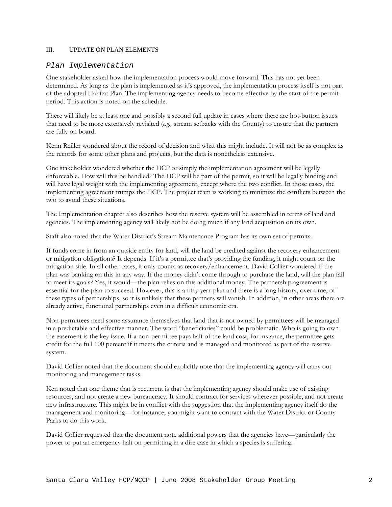## III. UPDATE ON PLAN ELEMENTS

## *Plan Implementation*

One stakeholder asked how the implementation process would move forward. This has not yet been determined. As long as the plan is implemented as it's approved, the implementation process itself is not part of the adopted Habitat Plan. The implementing agency needs to become effective by the start of the permit period. This action is noted on the schedule.

There will likely be at least one and possibly a second full update in cases where there are hot-button issues that need to be more extensively revisited (*e.g.,* stream setbacks with the County) to ensure that the partners are fully on board.

Kenn Reiller wondered about the record of decision and what this might include. It will not be as complex as the records for some other plans and projects, but the data is nonetheless extensive.

One stakeholder wondered whether the HCP or simply the implementation agreement will be legally enforceable. How will this be handled? The HCP will be part of the permit, so it will be legally binding and will have legal weight with the implementing agreement, except where the two conflict. In those cases, the implementing agreement trumps the HCP. The project team is working to minimize the conflicts between the two to avoid these situations.

The Implementation chapter also describes how the reserve system will be assembled in terms of land and agencies. The implementing agency will likely not be doing much if any land acquisition on its own.

Staff also noted that the Water District's Stream Maintenance Program has its own set of permits.

If funds come in from an outside entity for land, will the land be credited against the recovery enhancement or mitigation obligations? It depends. If it's a permittee that's providing the funding, it might count on the mitigation side. In all other cases, it only counts as recovery/enhancement. David Collier wondered if the plan was banking on this in any way. If the money didn't come through to purchase the land, will the plan fail to meet its goals? Yes, it would—the plan relies on this additional money. The partnership agreement is essential for the plan to succeed. However, this is a fifty-year plan and there is a long history, over time, of these types of partnerships, so it is unlikely that these partners will vanish. In addition, in other areas there are already active, functional partnerships even in a difficult economic era.

Non-permittees need some assurance themselves that land that is not owned by permittees will be managed in a predictable and effective manner. The word "beneficiaries" could be problematic. Who is going to own the easement is the key issue. If a non-permittee pays half of the land cost, for instance, the permittee gets credit for the full 100 percent if it meets the criteria and is managed and monitored as part of the reserve system.

David Collier noted that the document should explicitly note that the implementing agency will carry out monitoring and management tasks.

Ken noted that one theme that is recurrent is that the implementing agency should make use of existing resources, and not create a new bureaucracy. It should contract for services wherever possible, and not create new infrastructure. This might be in conflict with the suggestion that the implementing agency itself do the management and monitoring—for instance, you might want to contract with the Water District or County Parks to do this work.

David Collier requested that the document note additional powers that the agencies have—particularly the power to put an emergency halt on permitting in a dire case in which a species is suffering.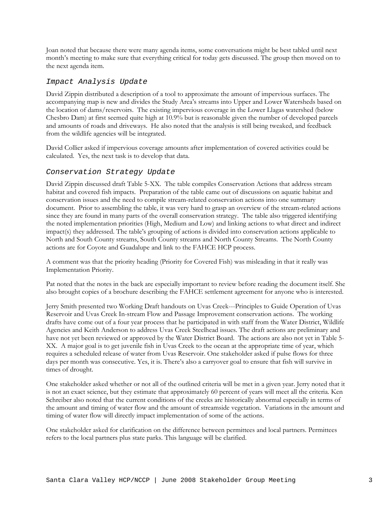Joan noted that because there were many agenda items, some conversations might be best tabled until next month's meeting to make sure that everything critical for today gets discussed. The group then moved on to the next agenda item.

# *Impact Analysis Update*

David Zippin distributed a description of a tool to approximate the amount of impervious surfaces. The accompanying map is new and divides the Study Area's streams into Upper and Lower Watersheds based on the location of dams/reservoirs. The existing impervious coverage in the Lower Llagas watershed (below Chesbro Dam) at first seemed quite high at 10.9% but is reasonable given the number of developed parcels and amounts of roads and driveways. He also noted that the analysis is still being tweaked, and feedback from the wildlife agencies will be integrated.

David Collier asked if impervious coverage amounts after implementation of covered activities could be calculated. Yes, the next task is to develop that data.

# *Conservation Strategy Update*

David Zippin discussed draft Table 5-XX. The table compiles Conservation Actions that address stream habitat and covered fish impacts. Preparation of the table came out of discussions on aquatic habitat and conservation issues and the need to compile stream-related conservation actions into one summary document. Prior to assembling the table, it was very hard to grasp an overview of the stream-related actions since they are found in many parts of the overall conservation strategy. The table also triggered identifying the noted implementation priorities (High, Medium and Low) and linking actions to what direct and indirect impact(s) they addressed. The table's grouping of actions is divided into conservation actions applicable to North and South County streams, South County streams and North County Streams. The North County actions are for Coyote and Guadalupe and link to the FAHCE HCP process.

A comment was that the priority heading (Priority for Covered Fish) was misleading in that it really was Implementation Priority.

Pat noted that the notes in the back are especially important to review before reading the document itself. She also brought copies of a brochure describing the FAHCE settlement agreement for anyone who is interested.

Jerry Smith presented two Working Draft handouts on Uvas Creek---Principles to Guide Operation of Uvas Reservoir and Uvas Creek In-stream Flow and Passage Improvement conservation actions. The working drafts have come out of a four year process that he participated in with staff from the Water District, Wildlife Agencies and Keith Anderson to address Uvas Creek Steelhead issues. The draft actions are preliminary and have not yet been reviewed or approved by the Water District Board. The actions are also not yet in Table 5-XX. A major goal is to get juvenile fish in Uvas Creek to the ocean at the appropriate time of year, which requires a scheduled release of water from Uvas Reservoir. One stakeholder asked if pulse flows for three days per month was consecutive. Yes, it is. There's also a carryover goal to ensure that fish will survive in times of drought.

One stakeholder asked whether or not all of the outlined criteria will be met in a given year. Jerry noted that it is not an exact science, but they estimate that approximately 60 percent of years will meet all the criteria. Ken Schreiber also noted that the current conditions of the creeks are historically abnormal especially in terms of the amount and timing of water flow and the amount of streamside vegetation. Variations in the amount and timing of water flow will directly impact implementation of some of the actions.

One stakeholder asked for clarification on the difference between permittees and local partners. Permittees refers to the local partners plus state parks. This language will be clarified.